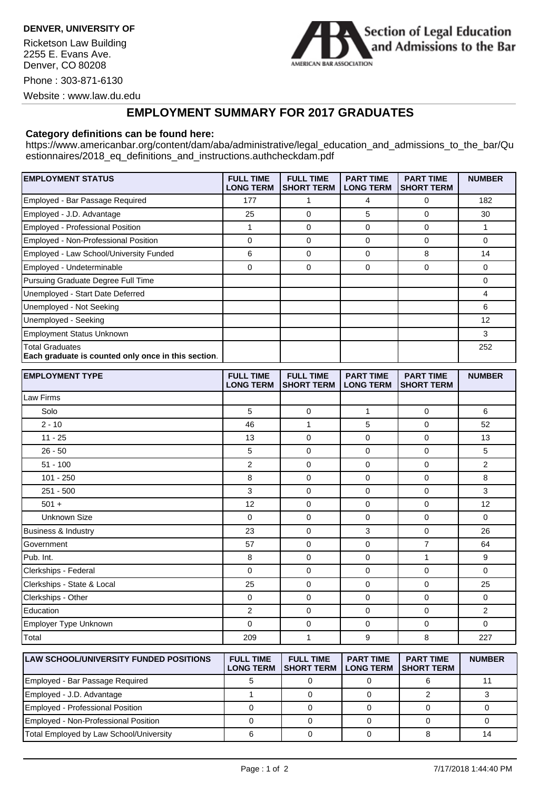**DENVER, UNIVERSITY OF**

Ricketson Law Building 2255 E. Evans Ave. Denver, CO 80208

Phone : 303-871-6130



Website : www.law.du.edu

## **EMPLOYMENT SUMMARY FOR 2017 GRADUATES**

## **Category definitions can be found here:**

https://www.americanbar.org/content/dam/aba/administrative/legal\_education\_and\_admissions\_to\_the\_bar/Qu estionnaires/2018\_eq\_definitions\_and\_instructions.authcheckdam.pdf

| <b>EMPLOYMENT STATUS</b>                                                      | <b>FULL TIME</b><br><b>LONG TERM</b> | <b>FULL TIME</b><br><b>SHORT TERM</b> | <b>PART TIME</b><br><b>LONG TERM</b> | <b>PART TIME</b><br><b>SHORT TERM</b> | <b>NUMBER</b> |
|-------------------------------------------------------------------------------|--------------------------------------|---------------------------------------|--------------------------------------|---------------------------------------|---------------|
| Employed - Bar Passage Required                                               | 177                                  |                                       | 4                                    | 0                                     | 182           |
| Employed - J.D. Advantage                                                     | 25                                   | 0                                     | 5                                    | 0                                     | 30            |
| Employed - Professional Position                                              |                                      | 0                                     | $\Omega$                             | 0                                     |               |
| Employed - Non-Professional Position                                          | 0                                    | 0                                     | $\Omega$                             | 0                                     | 0             |
| Employed - Law School/University Funded                                       | 6                                    | 0                                     | $\Omega$                             | 8                                     | 14            |
| Employed - Undeterminable                                                     | 0                                    | 0                                     | 0                                    | 0                                     | 0             |
| Pursuing Graduate Degree Full Time                                            |                                      |                                       |                                      |                                       | 0             |
| Unemployed - Start Date Deferred                                              |                                      |                                       |                                      |                                       |               |
| Unemployed - Not Seeking                                                      |                                      |                                       |                                      |                                       | 6             |
| Unemployed - Seeking                                                          |                                      |                                       |                                      |                                       | 12            |
| <b>Employment Status Unknown</b>                                              |                                      |                                       |                                      |                                       | 3             |
| <b>Total Graduates</b><br>Each graduate is counted only once in this section. |                                      |                                       |                                      |                                       | 252           |

| <b>EMPLOYMENT TYPE</b>         | <b>FULL TIME</b><br><b>LONG TERM</b> | <b>FULL TIME</b><br><b>SHORT TERM</b> | <b>PART TIME</b><br><b>LONG TERM</b> | <b>PART TIME</b><br><b>SHORT TERM</b> | <b>NUMBER</b>  |
|--------------------------------|--------------------------------------|---------------------------------------|--------------------------------------|---------------------------------------|----------------|
| Law Firms                      |                                      |                                       |                                      |                                       |                |
| Solo                           | 5                                    | $\overline{0}$                        | $\mathbf{1}$                         | $\mathbf 0$                           | 6              |
| $2 - 10$                       | 46                                   | 1                                     | 5                                    | 0                                     | 52             |
| $11 - 25$                      | 13                                   | $\mathbf 0$                           | $\mathbf 0$                          | 0                                     | 13             |
| $26 - 50$                      | 5                                    | 0                                     | 0                                    | 0                                     | 5              |
| $51 - 100$                     | $\overline{2}$                       | $\overline{0}$                        | $\mathbf 0$                          | $\mathbf 0$                           | $\overline{2}$ |
| $101 - 250$                    | 8                                    | $\mathbf 0$                           | 0                                    | 0                                     | 8              |
| $251 - 500$                    | 3                                    | $\mathbf 0$                           | $\mathbf 0$                          | 0                                     | 3              |
| $501 +$                        | 12                                   | $\mathbf 0$                           | $\mathbf 0$                          | 0                                     | 12             |
| <b>Unknown Size</b>            | 0                                    | $\overline{0}$                        | 0                                    | $\mathbf 0$                           | $\mathbf 0$    |
| <b>Business &amp; Industry</b> | 23                                   | $\mathbf 0$                           | 3                                    | $\mathbf 0$                           | 26             |
| Government                     | 57                                   | $\overline{0}$                        | $\mathbf 0$                          | $\overline{7}$                        | 64             |
| Pub. Int.                      | 8                                    | $\mathbf 0$                           | 0                                    | 1                                     | 9              |
| Clerkships - Federal           | $\Omega$                             | $\overline{0}$                        | $\mathbf 0$                          | $\mathbf 0$                           | $\Omega$       |
| Clerkships - State & Local     | 25                                   | $\mathbf 0$                           | $\mathbf 0$                          | $\mathbf 0$                           | 25             |
| Clerkships - Other             | 0                                    | $\mathbf 0$                           | 0                                    | 0                                     | $\mathbf 0$    |
| Education                      | $\overline{2}$                       | $\mathbf 0$                           | $\mathbf 0$                          | $\mathbf 0$                           | $\overline{2}$ |
| Employer Type Unknown          | $\mathbf 0$                          | $\mathbf 0$                           | 0                                    | 0                                     | $\mathbf 0$    |
| Total                          | 209                                  | 1                                     | 9                                    | 8                                     | 227            |

| <b>ILAW SCHOOL/UNIVERSITY FUNDED POSITIONS</b> | <b>FULL TIME</b><br><b>LONG TERM</b> | <b>FULL TIME</b><br><b>ISHORT TERM</b> | <b>PART TIME</b><br><b>LONG TERM</b> | <b>PART TIME</b><br><b>ISHORT TERM</b> | <b>NUMBER</b> |
|------------------------------------------------|--------------------------------------|----------------------------------------|--------------------------------------|----------------------------------------|---------------|
| Employed - Bar Passage Required                |                                      |                                        |                                      |                                        |               |
| Employed - J.D. Advantage                      |                                      |                                        |                                      |                                        |               |
| Employed - Professional Position               |                                      |                                        |                                      |                                        |               |
| Employed - Non-Professional Position           |                                      |                                        |                                      |                                        |               |
| Total Employed by Law School/University        |                                      |                                        |                                      |                                        |               |